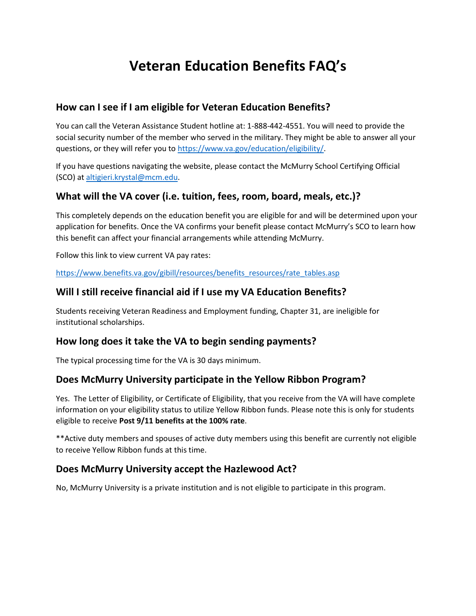# **Veteran Education Benefits FAQ's**

#### **How can I see if I am eligible for Veteran Education Benefits?**

You can call the Veteran Assistance Student hotline at: 1-888-442-4551. You will need to provide the social security number of the member who served in the military. They might be able to answer all your questions, or they will refer you to https://www.va.gov/education/eligibility/

If you have questions navigating the website, please contact the McMurry School Certifying Official (SCO) at [altigieri.krystal@mcm.edu.](mailto:altigieri.krystal@mcm.edu)

#### **What will the VA cover (i.e. tuition, fees, room, board, meals, etc.)?**

This completely depends on the education benefit you are eligible for and will be determined upon your application for benefits. Once the VA confirms your benefit please contact McMurry's SCO to learn how this benefit can affect your financial arrangements while attending McMurry.

Follow this link to view current VA pay rates:

[https://www.benefits.va.gov/gibill/resources/benefits\\_resources/rate\\_tables.asp](https://www.benefits.va.gov/gibill/resources/benefits_resources/rate_tables.asp)

#### **Will I still receive financial aid if I use my VA Education Benefits?**

Students receiving Veteran Readiness and Employment funding, Chapter 31, are ineligible for institutional scholarships.

#### **How long does it take the VA to begin sending payments?**

The typical processing time for the VA is 30 days minimum.

#### **Does McMurry University participate in the Yellow Ribbon Program?**

Yes. The Letter of Eligibility, or Certificate of Eligibility, that you receive from the VA will have complete information on your eligibility status to utilize Yellow Ribbon funds. Please note this is only for students eligible to receive **Post 9/11 benefits at the 100% rate**.

\*\*Active duty members and spouses of active duty members using this benefit are currently not eligible to receive Yellow Ribbon funds at this time.

#### **Does McMurry University accept the Hazlewood Act?**

No, McMurry University is a private institution and is not eligible to participate in this program.